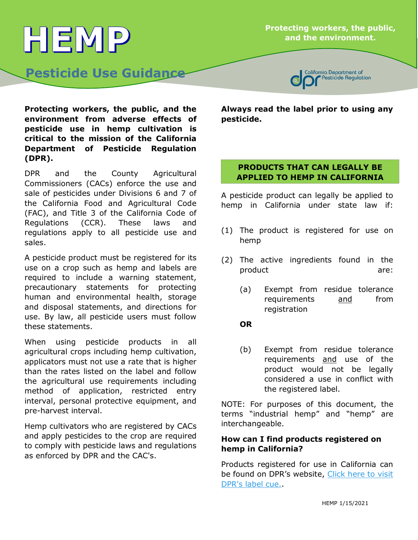#### **Protecting workers, the public, and the environment.**

California Department of

# **Pesticide Use Guidance**

HEMP

Pesticide Regulation

**Protecting workers, the public, and the environment from adverse effects of pesticide use in hemp cultivation is critical to the mission of the California Department of Pesticide Regulation (DPR).**

DPR and the County Agricultural Commissioners (CACs) enforce the use and sale of pesticides under Divisions 6 and 7 of the California Food and Agricultural Code (FAC), and Title 3 of the California Code of Regulations (CCR). These laws and regulations apply to all pesticide use and sales.

A pesticide product must be registered for its use on a crop such as hemp and labels are required to include a warning statement, precautionary statements for protecting human and environmental health, storage and disposal statements, and directions for use. By law, all pesticide users must follow these statements.

When using pesticide products in all agricultural crops including hemp cultivation, applicators must not use a rate that is higher than the rates listed on the label and follow the agricultural use requirements including method of application, restricted entry interval, personal protective equipment, and pre-harvest interval.

Hemp cultivators who are registered by CACs and apply pesticides to the crop are required to comply with pesticide laws and regulations as enforced by DPR and the CAC's.

**Always read the label prior to using any pesticide.**

#### **PRODUCTS THAT CAN LEGALLY BE APPLIED TO HEMP IN CALIFORNIA**

A pesticide product can legally be applied to hemp in California under state law if:

- (1) The product is registered for use on hemp
- (2) The active ingredients found in the product are:
	- (a) Exempt from residue tolerance requirements and from registration

## **OR**

(b) Exempt from residue tolerance requirements and use of the product would not be legally considered a use in conflict with the registered label.

NOTE: For purposes of this document, the terms "industrial hemp" and "hemp" are interchangeable.

#### **How can I find products registered on hemp in California?**

. [DPR's label cue.](https://apps.cdpr.ca.gov/docs/label/labelque.cfm)Products registered for use in California can be found on DPR's website, Click here to visit